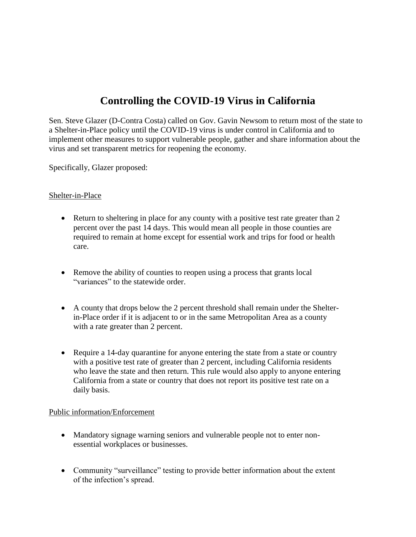# **Controlling the COVID-19 Virus in California**

Sen. Steve Glazer (D-Contra Costa) called on Gov. Gavin Newsom to return most of the state to a Shelter-in-Place policy until the COVID-19 virus is under control in California and to implement other measures to support vulnerable people, gather and share information about the virus and set transparent metrics for reopening the economy.

Specifically, Glazer proposed:

### Shelter-in-Place

- Return to sheltering in place for any county with a positive test rate greater than 2 percent over the past 14 days. This would mean all people in those counties are required to remain at home except for essential work and trips for food or health care.
- Remove the ability of counties to reopen using a process that grants local "variances" to the statewide order.
- A county that drops below the 2 percent threshold shall remain under the Shelterin-Place order if it is adjacent to or in the same Metropolitan Area as a county with a rate greater than 2 percent.
- Require a 14-day quarantine for anyone entering the state from a state or country with a positive test rate of greater than 2 percent, including California residents who leave the state and then return. This rule would also apply to anyone entering California from a state or country that does not report its positive test rate on a daily basis.

#### Public information/Enforcement

- Mandatory signage warning seniors and vulnerable people not to enter nonessential workplaces or businesses.
- Community "surveillance" testing to provide better information about the extent of the infection's spread.